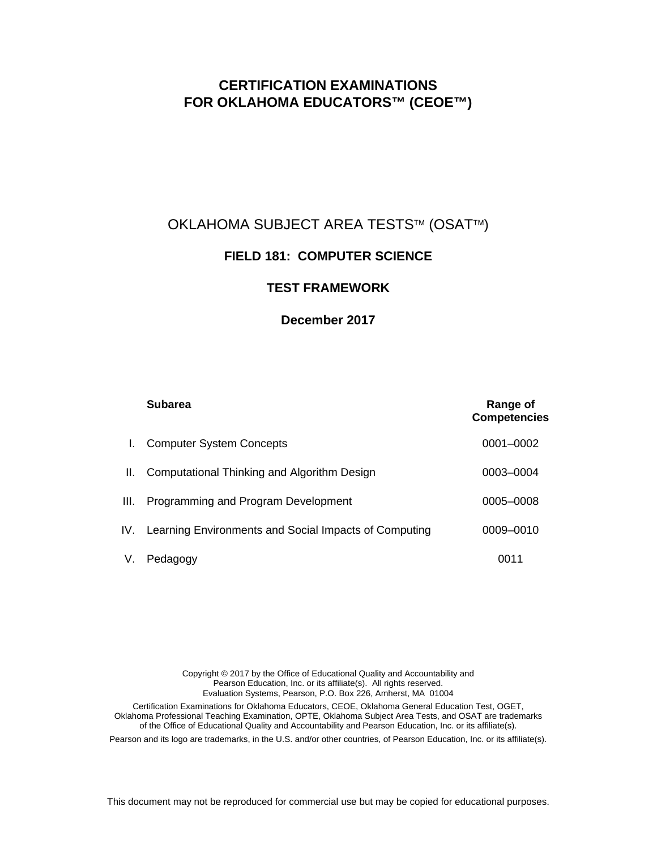# **CERTIFICATION EXAMINATIONS FOR OKLAHOMA EDUCATORS™ (CEOE™)**

## OKLAHOMA SUBJECT AREA TESTS™ (OSAT™)

## **FIELD 181: COMPUTER SCIENCE**

## **TEST FRAMEWORK**

#### **December 2017**

|      | <b>Subarea</b>                                            | Range of<br><b>Competencies</b> |
|------|-----------------------------------------------------------|---------------------------------|
| L.   | <b>Computer System Concepts</b>                           | 0001-0002                       |
| H.   | Computational Thinking and Algorithm Design               | 0003-0004                       |
| III. | Programming and Program Development                       | 0005-0008                       |
|      | IV. Learning Environments and Social Impacts of Computing | 0009-0010                       |
| V.   | Pedagogy                                                  | 0011                            |

Copyright © 2017 by the Office of Educational Quality and Accountability and Pearson Education, Inc. or its affiliate(s). All rights reserved. Evaluation Systems, Pearson, P.O. Box 226, Amherst, MA 01004 Certification Examinations for Oklahoma Educators, CEOE, Oklahoma General Education Test, OGET, Oklahoma Professional Teaching Examination, OPTE, Oklahoma Subject Area Tests, and OSAT are trademarks of the Office of Educational Quality and Accountability and Pearson Education, Inc. or its affiliate(s). Pearson and its logo are trademarks, in the U.S. and/or other countries, of Pearson Education, Inc. or its affiliate(s).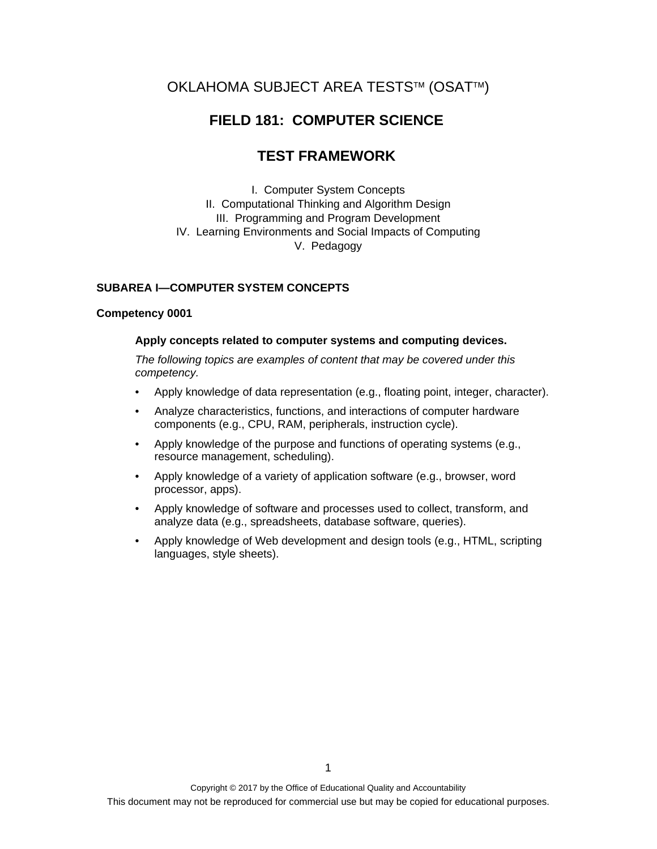# OKLAHOMA SUBJECT AREA TESTS™ (OSAT™)

## **FIELD 181: COMPUTER SCIENCE**

## **TEST FRAMEWORK**

I. Computer System Concepts II. Computational Thinking and Algorithm Design III. Programming and Program Development IV. Learning Environments and Social Impacts of Computing V. Pedagogy

#### **SUBAREA I—COMPUTER SYSTEM CONCEPTS**

#### **Competency 0001**

#### **Apply concepts related to computer systems and computing devices.**

- Apply knowledge of data representation (e.g., floating point, integer, character).
- Analyze characteristics, functions, and interactions of computer hardware components (e.g., CPU, RAM, peripherals, instruction cycle).
- Apply knowledge of the purpose and functions of operating systems (e.g., resource management, scheduling).
- Apply knowledge of a variety of application software (e.g., browser, word processor, apps).
- Apply knowledge of software and processes used to collect, transform, and analyze data (e.g., spreadsheets, database software, queries).
- Apply knowledge of Web development and design tools (e.g., HTML, scripting languages, style sheets).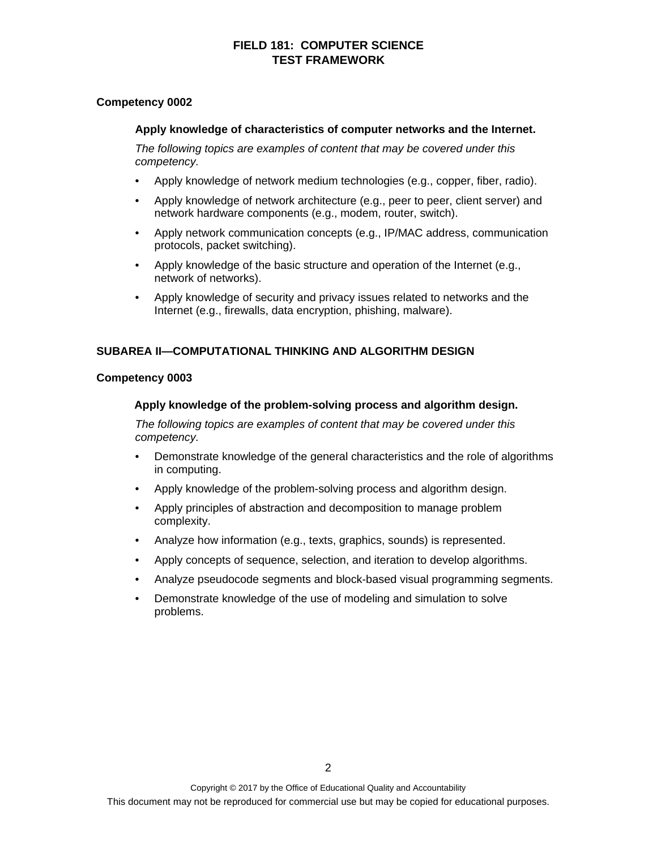#### **Competency 0002**

#### **Apply knowledge of characteristics of computer networks and the Internet.**

*The following topics are examples of content that may be covered under this competency.* 

- Apply knowledge of network medium technologies (e.g., copper, fiber, radio).
- Apply knowledge of network architecture (e.g., peer to peer, client server) and network hardware components (e.g., modem, router, switch).
- Apply network communication concepts (e.g., IP/MAC address, communication protocols, packet switching).
- Apply knowledge of the basic structure and operation of the Internet (e.g., network of networks).
- Apply knowledge of security and privacy issues related to networks and the Internet (e.g., firewalls, data encryption, phishing, malware).

#### **SUBAREA II—COMPUTATIONAL THINKING AND ALGORITHM DESIGN**

#### **Competency 0003**

#### **Apply knowledge of the problem-solving process and algorithm design.**

- Demonstrate knowledge of the general characteristics and the role of algorithms in computing.
- Apply knowledge of the problem-solving process and algorithm design.
- Apply principles of abstraction and decomposition to manage problem complexity.
- Analyze how information (e.g., texts, graphics, sounds) is represented.
- Apply concepts of sequence, selection, and iteration to develop algorithms.
- Analyze pseudocode segments and block-based visual programming segments.
- Demonstrate knowledge of the use of modeling and simulation to solve problems.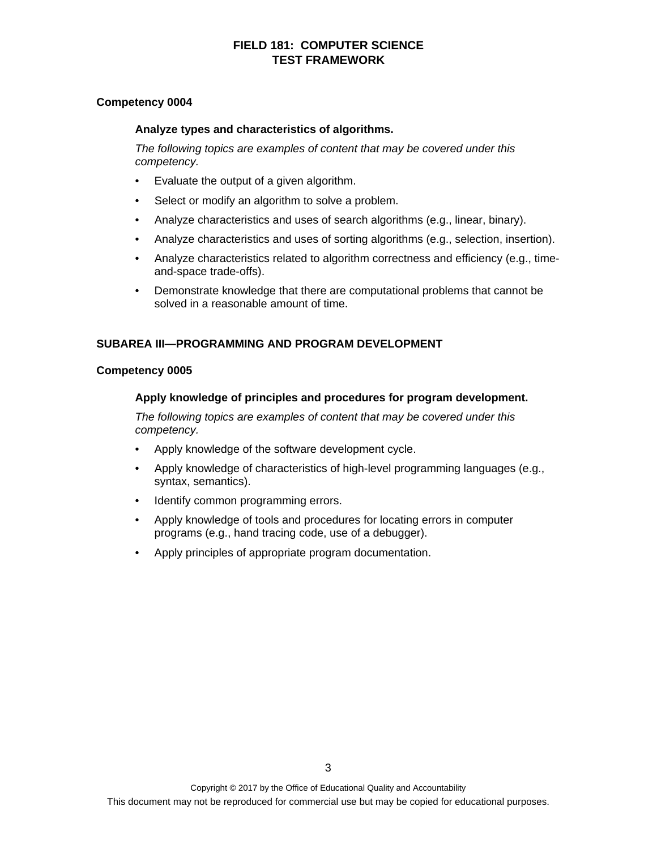#### **Competency 0004**

#### **Analyze types and characteristics of algorithms.**

*The following topics are examples of content that may be covered under this competency.* 

- Evaluate the output of a given algorithm.
- Select or modify an algorithm to solve a problem.
- Analyze characteristics and uses of search algorithms (e.g., linear, binary).
- Analyze characteristics and uses of sorting algorithms (e.g., selection, insertion).
- Analyze characteristics related to algorithm correctness and efficiency (e.g., timeand-space trade-offs).
- Demonstrate knowledge that there are computational problems that cannot be solved in a reasonable amount of time.

#### **SUBAREA III—PROGRAMMING AND PROGRAM DEVELOPMENT**

#### **Competency 0005**

#### **Apply knowledge of principles and procedures for program development.**

- Apply knowledge of the software development cycle.
- Apply knowledge of characteristics of high-level programming languages (e.g., syntax, semantics).
- Identify common programming errors.
- Apply knowledge of tools and procedures for locating errors in computer programs (e.g., hand tracing code, use of a debugger).
- Apply principles of appropriate program documentation.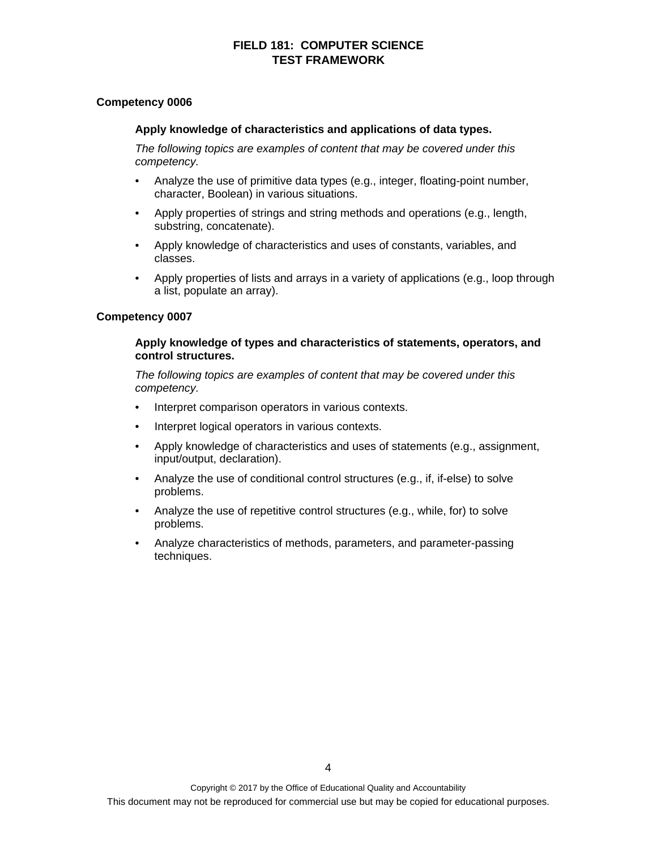#### **Competency 0006**

#### **Apply knowledge of characteristics and applications of data types.**

*The following topics are examples of content that may be covered under this competency.* 

- Analyze the use of primitive data types (e.g., integer, floating-point number, character, Boolean) in various situations.
- Apply properties of strings and string methods and operations (e.g., length, substring, concatenate).
- Apply knowledge of characteristics and uses of constants, variables, and classes.
- Apply properties of lists and arrays in a variety of applications (e.g., loop through a list, populate an array).

#### **Competency 0007**

#### **Apply knowledge of types and characteristics of statements, operators, and control structures.**

- Interpret comparison operators in various contexts.
- Interpret logical operators in various contexts.
- Apply knowledge of characteristics and uses of statements (e.g., assignment, input/output, declaration).
- Analyze the use of conditional control structures (e.g., if, if-else) to solve problems.
- Analyze the use of repetitive control structures (e.g., while, for) to solve problems.
- Analyze characteristics of methods, parameters, and parameter-passing techniques.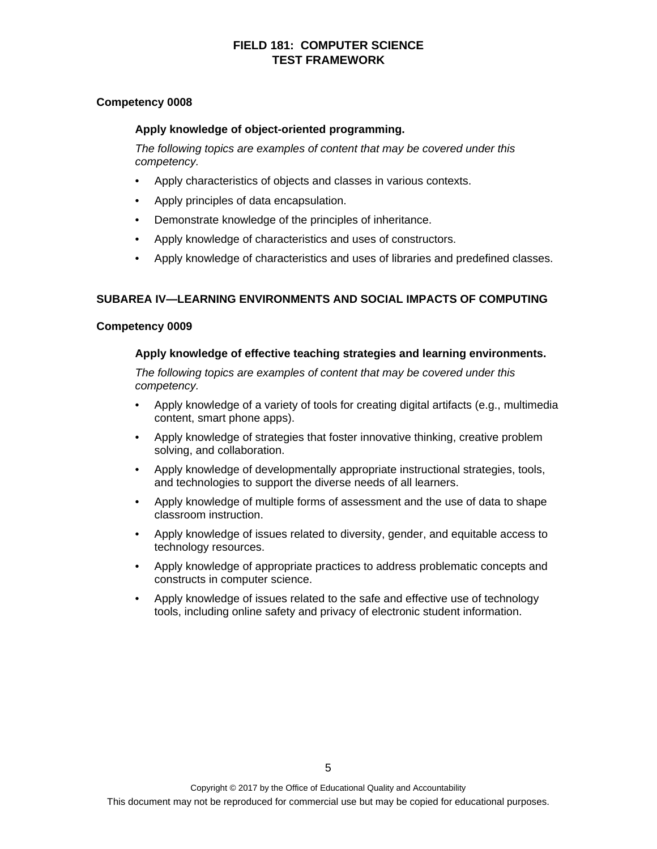#### **Competency 0008**

#### **Apply knowledge of object-oriented programming.**

*The following topics are examples of content that may be covered under this competency.* 

- Apply characteristics of objects and classes in various contexts.
- Apply principles of data encapsulation.
- Demonstrate knowledge of the principles of inheritance.
- Apply knowledge of characteristics and uses of constructors.
- Apply knowledge of characteristics and uses of libraries and predefined classes.

#### **SUBAREA IV—LEARNING ENVIRONMENTS AND SOCIAL IMPACTS OF COMPUTING**

#### **Competency 0009**

#### **Apply knowledge of effective teaching strategies and learning environments.**

- Apply knowledge of a variety of tools for creating digital artifacts (e.g., multimedia content, smart phone apps).
- Apply knowledge of strategies that foster innovative thinking, creative problem solving, and collaboration.
- Apply knowledge of developmentally appropriate instructional strategies, tools, and technologies to support the diverse needs of all learners.
- Apply knowledge of multiple forms of assessment and the use of data to shape classroom instruction.
- Apply knowledge of issues related to diversity, gender, and equitable access to technology resources.
- Apply knowledge of appropriate practices to address problematic concepts and constructs in computer science.
- Apply knowledge of issues related to the safe and effective use of technology tools, including online safety and privacy of electronic student information.